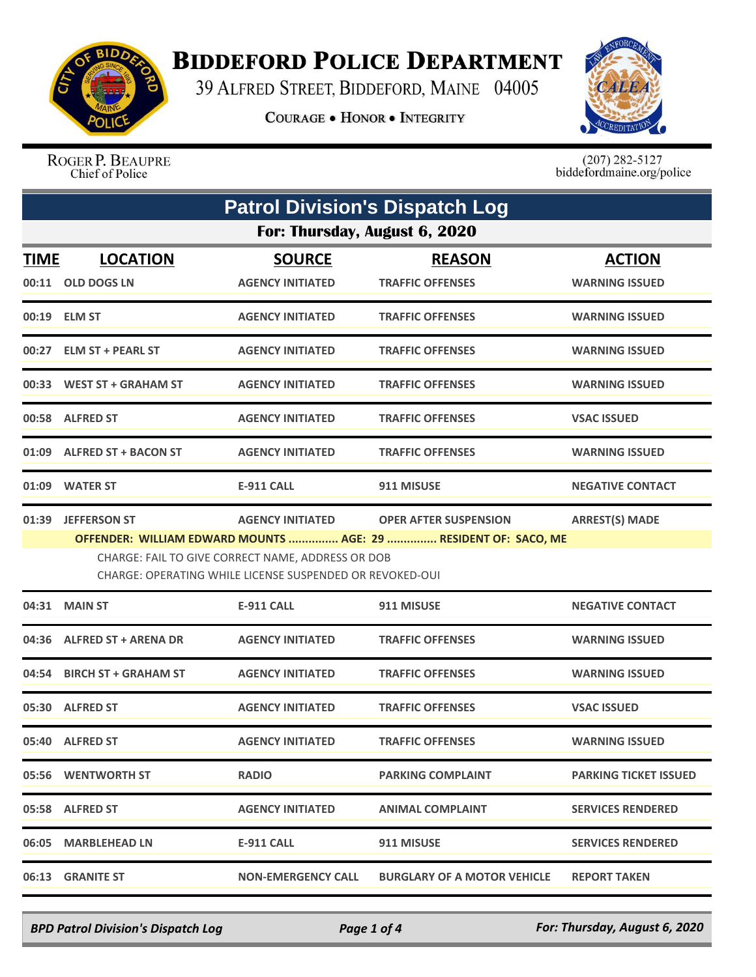

## **BIDDEFORD POLICE DEPARTMENT**

39 ALFRED STREET, BIDDEFORD, MAINE 04005

**COURAGE . HONOR . INTEGRITY** 



ROGER P. BEAUPRE Chief of Police

 $(207)$  282-5127<br>biddefordmaine.org/police

| <b>Patrol Division's Dispatch Log</b> |                                                                                                                                                                                                                                                                                             |                                          |                                          |                                        |  |  |
|---------------------------------------|---------------------------------------------------------------------------------------------------------------------------------------------------------------------------------------------------------------------------------------------------------------------------------------------|------------------------------------------|------------------------------------------|----------------------------------------|--|--|
|                                       | For: Thursday, August 6, 2020                                                                                                                                                                                                                                                               |                                          |                                          |                                        |  |  |
| <b>TIME</b>                           | <b>LOCATION</b><br>00:11 OLD DOGS LN                                                                                                                                                                                                                                                        | <b>SOURCE</b><br><b>AGENCY INITIATED</b> | <b>REASON</b><br><b>TRAFFIC OFFENSES</b> | <b>ACTION</b><br><b>WARNING ISSUED</b> |  |  |
|                                       | 00:19 ELM ST                                                                                                                                                                                                                                                                                | <b>AGENCY INITIATED</b>                  | <b>TRAFFIC OFFENSES</b>                  | <b>WARNING ISSUED</b>                  |  |  |
|                                       | 00:27 ELM ST + PEARL ST                                                                                                                                                                                                                                                                     | <b>AGENCY INITIATED</b>                  | <b>TRAFFIC OFFENSES</b>                  | <b>WARNING ISSUED</b>                  |  |  |
|                                       | 00:33 WEST ST + GRAHAM ST                                                                                                                                                                                                                                                                   | <b>AGENCY INITIATED</b>                  | <b>TRAFFIC OFFENSES</b>                  | <b>WARNING ISSUED</b>                  |  |  |
|                                       | 00:58 ALFRED ST                                                                                                                                                                                                                                                                             | <b>AGENCY INITIATED</b>                  | <b>TRAFFIC OFFENSES</b>                  | <b>VSAC ISSUED</b>                     |  |  |
|                                       | 01:09 ALFRED ST + BACON ST                                                                                                                                                                                                                                                                  | <b>AGENCY INITIATED</b>                  | <b>TRAFFIC OFFENSES</b>                  | <b>WARNING ISSUED</b>                  |  |  |
|                                       | 01:09 WATER ST                                                                                                                                                                                                                                                                              | <b>E-911 CALL</b>                        | 911 MISUSE                               | <b>NEGATIVE CONTACT</b>                |  |  |
| 01:39                                 | <b>JEFFERSON ST</b><br><b>AGENCY INITIATED</b><br><b>OPER AFTER SUSPENSION</b><br><b>ARREST(S) MADE</b><br>OFFENDER: WILLIAM EDWARD MOUNTS  AGE: 29  RESIDENT OF: SACO, ME<br>CHARGE: FAIL TO GIVE CORRECT NAME, ADDRESS OR DOB<br>CHARGE: OPERATING WHILE LICENSE SUSPENDED OR REVOKED-OUI |                                          |                                          |                                        |  |  |
|                                       | 04:31 MAIN ST                                                                                                                                                                                                                                                                               | <b>E-911 CALL</b>                        | 911 MISUSE                               | <b>NEGATIVE CONTACT</b>                |  |  |
|                                       | 04:36 ALFRED ST + ARENA DR                                                                                                                                                                                                                                                                  | <b>AGENCY INITIATED</b>                  | <b>TRAFFIC OFFENSES</b>                  | <b>WARNING ISSUED</b>                  |  |  |
|                                       | 04:54 BIRCH ST + GRAHAM ST                                                                                                                                                                                                                                                                  | <b>AGENCY INITIATED</b>                  | <b>TRAFFIC OFFENSES</b>                  | <b>WARNING ISSUED</b>                  |  |  |
|                                       | 05:30 ALFRED ST                                                                                                                                                                                                                                                                             | <b>AGENCY INITIATED</b>                  | <b>TRAFFIC OFFENSES</b>                  | <b>VSAC ISSUED</b>                     |  |  |
|                                       | 05:40 ALFRED ST                                                                                                                                                                                                                                                                             | <b>AGENCY INITIATED</b>                  | <b>TRAFFIC OFFENSES</b>                  | <b>WARNING ISSUED</b>                  |  |  |
|                                       | 05:56 WENTWORTH ST                                                                                                                                                                                                                                                                          | <b>RADIO</b>                             | <b>PARKING COMPLAINT</b>                 | <b>PARKING TICKET ISSUED</b>           |  |  |
|                                       | 05:58 ALFRED ST                                                                                                                                                                                                                                                                             | <b>AGENCY INITIATED</b>                  | <b>ANIMAL COMPLAINT</b>                  | <b>SERVICES RENDERED</b>               |  |  |
|                                       | 06:05 MARBLEHEAD LN                                                                                                                                                                                                                                                                         | <b>E-911 CALL</b>                        | 911 MISUSE                               | <b>SERVICES RENDERED</b>               |  |  |
| 06:13                                 | <b>GRANITE ST</b>                                                                                                                                                                                                                                                                           | <b>NON-EMERGENCY CALL</b>                | <b>BURGLARY OF A MOTOR VEHICLE</b>       | <b>REPORT TAKEN</b>                    |  |  |

*BPD Patrol Division's Dispatch Log Page 1 of 4 For: Thursday, August 6, 2020*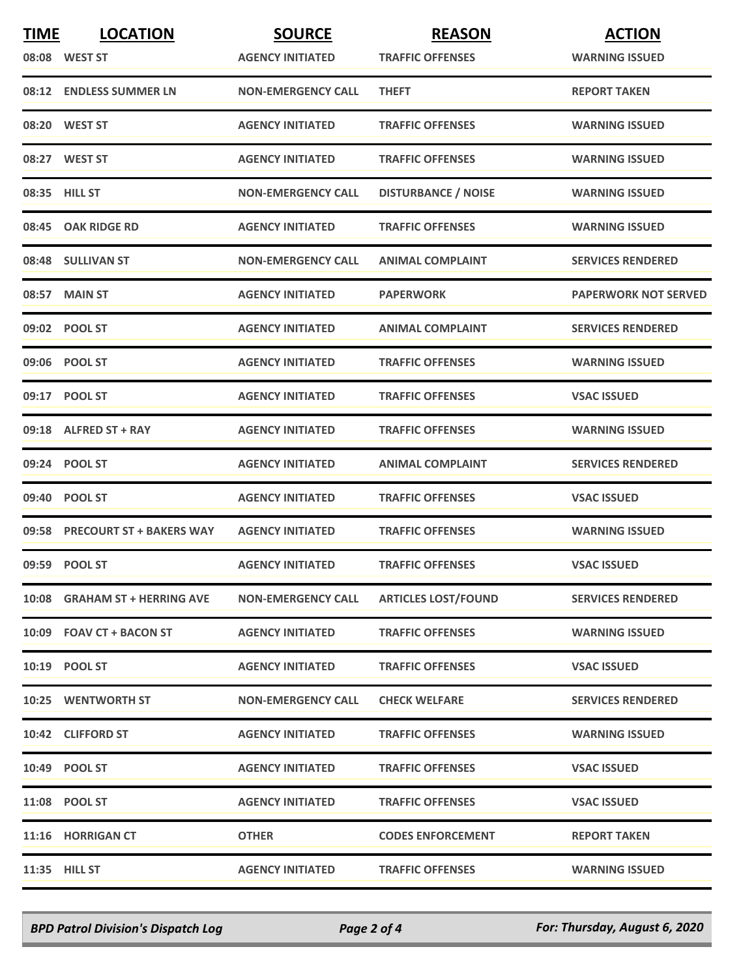| <b>TIME</b> | <b>LOCATION</b>                | <b>SOURCE</b>             | <b>REASON</b>              | <b>ACTION</b>               |
|-------------|--------------------------------|---------------------------|----------------------------|-----------------------------|
|             | 08:08 WEST ST                  | <b>AGENCY INITIATED</b>   | <b>TRAFFIC OFFENSES</b>    | <b>WARNING ISSUED</b>       |
|             | 08:12 ENDLESS SUMMER LN        | <b>NON-EMERGENCY CALL</b> | <b>THEFT</b>               | <b>REPORT TAKEN</b>         |
|             | 08:20 WEST ST                  | <b>AGENCY INITIATED</b>   | <b>TRAFFIC OFFENSES</b>    | <b>WARNING ISSUED</b>       |
|             | 08:27 WEST ST                  | <b>AGENCY INITIATED</b>   | <b>TRAFFIC OFFENSES</b>    | <b>WARNING ISSUED</b>       |
|             | 08:35 HILL ST                  | <b>NON-EMERGENCY CALL</b> | <b>DISTURBANCE / NOISE</b> | <b>WARNING ISSUED</b>       |
|             | 08:45 OAK RIDGE RD             | <b>AGENCY INITIATED</b>   | <b>TRAFFIC OFFENSES</b>    | <b>WARNING ISSUED</b>       |
|             | 08:48 SULLIVAN ST              | <b>NON-EMERGENCY CALL</b> | <b>ANIMAL COMPLAINT</b>    | <b>SERVICES RENDERED</b>    |
|             | 08:57 MAIN ST                  | <b>AGENCY INITIATED</b>   | <b>PAPERWORK</b>           | <b>PAPERWORK NOT SERVED</b> |
|             | 09:02 POOL ST                  | <b>AGENCY INITIATED</b>   | <b>ANIMAL COMPLAINT</b>    | <b>SERVICES RENDERED</b>    |
|             | 09:06 POOL ST                  | <b>AGENCY INITIATED</b>   | <b>TRAFFIC OFFENSES</b>    | <b>WARNING ISSUED</b>       |
|             | 09:17 POOL ST                  | <b>AGENCY INITIATED</b>   | <b>TRAFFIC OFFENSES</b>    | <b>VSAC ISSUED</b>          |
|             | 09:18 ALFRED ST + RAY          | <b>AGENCY INITIATED</b>   | <b>TRAFFIC OFFENSES</b>    | <b>WARNING ISSUED</b>       |
|             | 09:24 POOL ST                  | <b>AGENCY INITIATED</b>   | <b>ANIMAL COMPLAINT</b>    | <b>SERVICES RENDERED</b>    |
|             | 09:40 POOL ST                  | <b>AGENCY INITIATED</b>   | <b>TRAFFIC OFFENSES</b>    | <b>VSAC ISSUED</b>          |
|             | 09:58 PRECOURT ST + BAKERS WAY | <b>AGENCY INITIATED</b>   | <b>TRAFFIC OFFENSES</b>    | <b>WARNING ISSUED</b>       |
|             | 09:59 POOL ST                  | <b>AGENCY INITIATED</b>   | <b>TRAFFIC OFFENSES</b>    | <b>VSAC ISSUED</b>          |
|             | 10:08 GRAHAM ST + HERRING AVE  | <b>NON-EMERGENCY CALL</b> | <b>ARTICLES LOST/FOUND</b> | <b>SERVICES RENDERED</b>    |
|             | 10:09 FOAV CT + BACON ST       | <b>AGENCY INITIATED</b>   | <b>TRAFFIC OFFENSES</b>    | <b>WARNING ISSUED</b>       |
|             | 10:19 POOL ST                  | <b>AGENCY INITIATED</b>   | <b>TRAFFIC OFFENSES</b>    | <b>VSAC ISSUED</b>          |
|             | <b>10:25 WENTWORTH ST</b>      | <b>NON-EMERGENCY CALL</b> | <b>CHECK WELFARE</b>       | <b>SERVICES RENDERED</b>    |
|             | 10:42 CLIFFORD ST              | <b>AGENCY INITIATED</b>   | <b>TRAFFIC OFFENSES</b>    | <b>WARNING ISSUED</b>       |
|             | 10:49 POOL ST                  | <b>AGENCY INITIATED</b>   | <b>TRAFFIC OFFENSES</b>    | <b>VSAC ISSUED</b>          |
|             | 11:08 POOL ST                  | <b>AGENCY INITIATED</b>   | <b>TRAFFIC OFFENSES</b>    | <b>VSAC ISSUED</b>          |
|             | 11:16 HORRIGAN CT              | <b>OTHER</b>              | <b>CODES ENFORCEMENT</b>   | <b>REPORT TAKEN</b>         |
|             | 11:35 HILL ST                  | <b>AGENCY INITIATED</b>   | <b>TRAFFIC OFFENSES</b>    | <b>WARNING ISSUED</b>       |

*BPD Patrol Division's Dispatch Log Page 2 of 4 For: Thursday, August 6, 2020*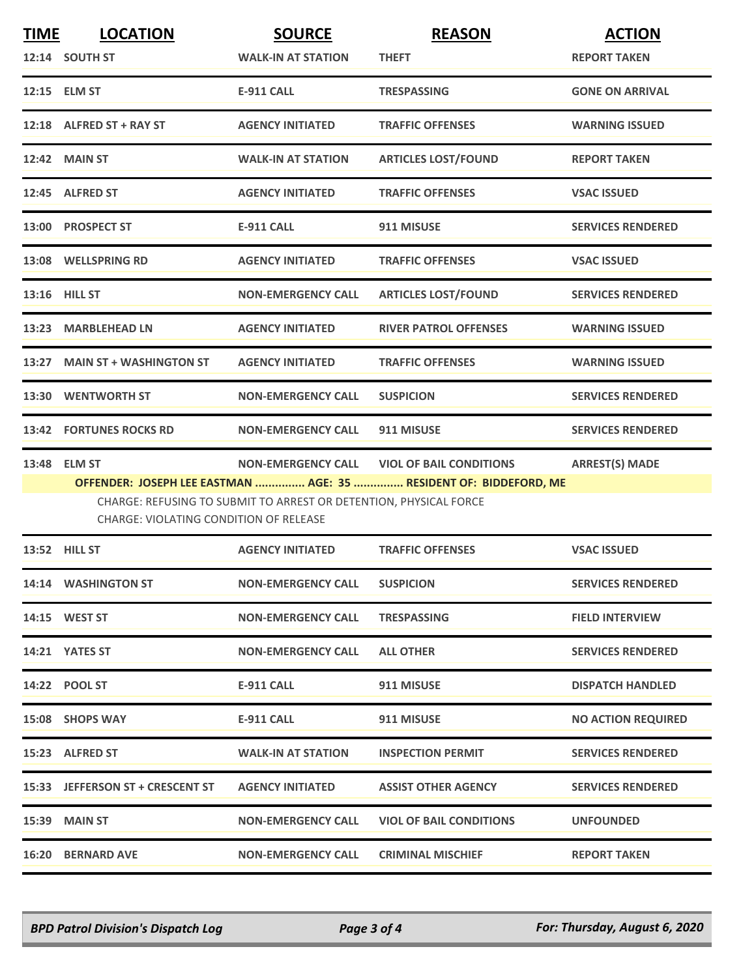| <b>TIME</b> | <b>LOCATION</b>                        | <b>SOURCE</b>                                                     | <b>REASON</b>                                                     | <b>ACTION</b>             |
|-------------|----------------------------------------|-------------------------------------------------------------------|-------------------------------------------------------------------|---------------------------|
|             | 12:14 SOUTH ST                         | <b>WALK-IN AT STATION</b>                                         | <b>THEFT</b>                                                      | <b>REPORT TAKEN</b>       |
|             | 12:15 ELM ST                           | <b>E-911 CALL</b>                                                 | <b>TRESPASSING</b>                                                | <b>GONE ON ARRIVAL</b>    |
|             | 12:18 ALFRED ST + RAY ST               | <b>AGENCY INITIATED</b>                                           | <b>TRAFFIC OFFENSES</b>                                           | <b>WARNING ISSUED</b>     |
|             | 12:42 MAIN ST                          | <b>WALK-IN AT STATION</b>                                         | <b>ARTICLES LOST/FOUND</b>                                        | <b>REPORT TAKEN</b>       |
|             | 12:45 ALFRED ST                        | <b>AGENCY INITIATED</b>                                           | <b>TRAFFIC OFFENSES</b>                                           | <b>VSAC ISSUED</b>        |
|             | 13:00 PROSPECT ST                      | <b>E-911 CALL</b>                                                 | 911 MISUSE                                                        | <b>SERVICES RENDERED</b>  |
|             | 13:08 WELLSPRING RD                    | <b>AGENCY INITIATED</b>                                           | <b>TRAFFIC OFFENSES</b>                                           | <b>VSAC ISSUED</b>        |
|             | 13:16 HILL ST                          | <b>NON-EMERGENCY CALL</b>                                         | <b>ARTICLES LOST/FOUND</b>                                        | <b>SERVICES RENDERED</b>  |
|             | 13:23 MARBLEHEAD LN                    | <b>AGENCY INITIATED</b>                                           | <b>RIVER PATROL OFFENSES</b>                                      | <b>WARNING ISSUED</b>     |
|             | 13:27 MAIN ST + WASHINGTON ST          | <b>AGENCY INITIATED</b>                                           | <b>TRAFFIC OFFENSES</b>                                           | <b>WARNING ISSUED</b>     |
|             | 13:30 WENTWORTH ST                     | <b>NON-EMERGENCY CALL</b>                                         | <b>SUSPICION</b>                                                  | <b>SERVICES RENDERED</b>  |
|             | <b>13:42 FORTUNES ROCKS RD</b>         | <b>NON-EMERGENCY CALL</b>                                         | 911 MISUSE                                                        | <b>SERVICES RENDERED</b>  |
|             | 13:48 ELM ST                           |                                                                   | NON-EMERGENCY CALL VIOL OF BAIL CONDITIONS                        | <b>ARREST(S) MADE</b>     |
|             |                                        |                                                                   | OFFENDER: JOSEPH LEE EASTMAN  AGE: 35  RESIDENT OF: BIDDEFORD, ME |                           |
|             | CHARGE: VIOLATING CONDITION OF RELEASE | CHARGE: REFUSING TO SUBMIT TO ARREST OR DETENTION, PHYSICAL FORCE |                                                                   |                           |
|             | 13:52 HILL ST                          | <b>AGENCY INITIATED</b>                                           | <b>TRAFFIC OFFENSES</b>                                           | <b>VSAC ISSUED</b>        |
|             | 14:14 WASHINGTON ST                    | <b>NON-EMERGENCY CALL</b>                                         | <b>SUSPICION</b>                                                  | <b>SERVICES RENDERED</b>  |
|             | 14:15 WEST ST                          | <b>NON-EMERGENCY CALL</b>                                         | <b>TRESPASSING</b>                                                | <b>FIELD INTERVIEW</b>    |
|             | 14:21 YATES ST                         | <b>NON-EMERGENCY CALL</b>                                         | <b>ALL OTHER</b>                                                  | <b>SERVICES RENDERED</b>  |
|             | 14:22 POOL ST                          | E-911 CALL                                                        | 911 MISUSE                                                        | <b>DISPATCH HANDLED</b>   |
|             | 15:08 SHOPS WAY                        | E-911 CALL                                                        | 911 MISUSE                                                        | <b>NO ACTION REQUIRED</b> |
|             | 15:23 ALFRED ST                        | <b>WALK-IN AT STATION</b>                                         | <b>INSPECTION PERMIT</b>                                          | <b>SERVICES RENDERED</b>  |
|             | 15:33 JEFFERSON ST + CRESCENT ST       | <b>AGENCY INITIATED</b>                                           | <b>ASSIST OTHER AGENCY</b>                                        | <b>SERVICES RENDERED</b>  |
|             | <b>15:39 MAIN ST</b>                   | <b>NON-EMERGENCY CALL</b>                                         | <b>VIOL OF BAIL CONDITIONS</b>                                    | <b>UNFOUNDED</b>          |
|             | <b>16:20 BERNARD AVE</b>               | <b>NON-EMERGENCY CALL</b>                                         | <b>CRIMINAL MISCHIEF</b>                                          | <b>REPORT TAKEN</b>       |

*BPD Patrol Division's Dispatch Log Page 3 of 4 For: Thursday, August 6, 2020*